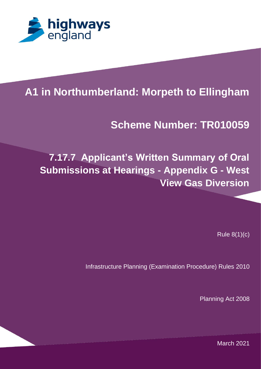

#### 1.1 1 **A1 in Northumberland: Morpeth to Ellingham**

# **PROJECT TITLES Scheme Number: TR010059**

## **7.17.7 Applicant's Written Summary of Oral Submissions at Hearings - Appendix G - West View Gas Diversion**

Rule 8(1)(c)

Infrastructure Planning (Examination Procedure) Rules 2010

Planning Act 2008

JUMPS OVER THE LAZY DOG. THE QUICK BROWN FOX JUMPS OVER THE LAZY DOG. THE March 2021QUICK BROWN FOX JUMPS OVER THE LAZY DOG. THE QUICK BROWN FOX JUMPS OVER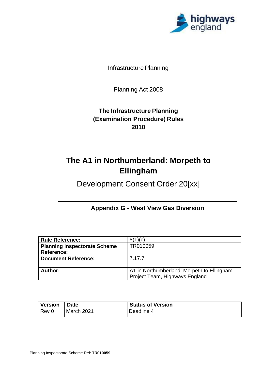

Infrastructure Planning

Planning Act 2008

#### **The Infrastructure Planning (Examination Procedure) Rules 2010**

### **The A1 in Northumberland: Morpeth to Ellingham**

Development Consent Order 20[xx]

#### **Appendix G - West View Gas Diversion**

| <b>Rule Reference:</b>              | 8(1)(c)                                    |
|-------------------------------------|--------------------------------------------|
| <b>Planning Inspectorate Scheme</b> | TR010059                                   |
| Reference:                          |                                            |
| <b>Document Reference:</b>          | 7.17.7                                     |
|                                     |                                            |
| Author:                             | A1 in Northumberland: Morpeth to Ellingham |
|                                     | Project Team, Highways England             |

| <b>Version</b> | <b>Date</b> | <b>Status of Version</b> |
|----------------|-------------|--------------------------|
| Rev 0          | March 2021  | Deadline 4               |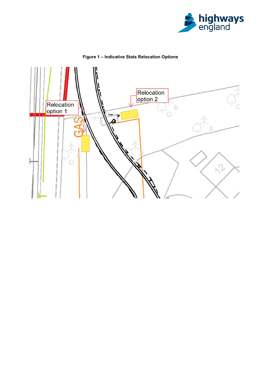



Figure 1 - Indicative Stats Relocation Options